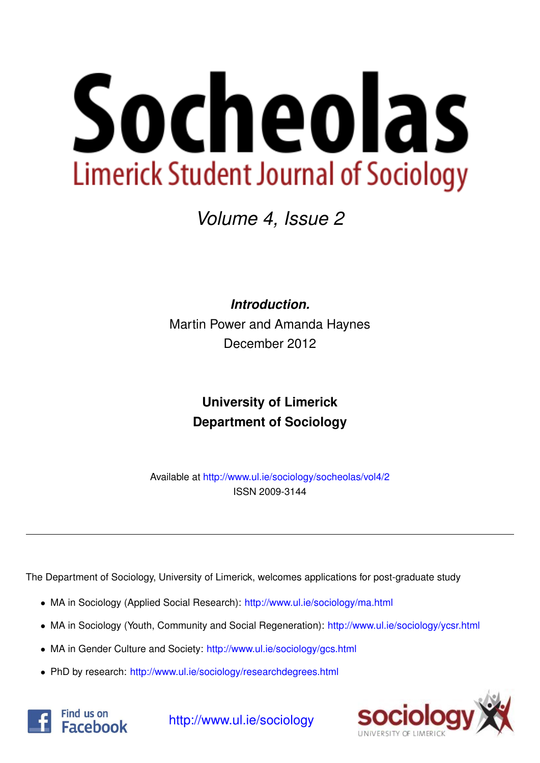

*Volume 4, Issue 2*

*Introduction.* Martin Power and Amanda Haynes December 2012

## **University of Limerick Department of Sociology**

Available at <http://www.ul.ie/sociology/socheolas/vol4/2> ISSN 2009-3144

The Department of Sociology, University of Limerick, welcomes applications for post-graduate study

- MA in Sociology (Applied Social Research): [http://www.ul.ie/sociology/ma.html](http://www.ul.ie/sociology/ma.html?source=socheolas)
- MA in Sociology (Youth, Community and Social Regeneration): [http://www.ul.ie/sociology/ycsr.html](http://www.ul.ie/sociology/ycsr.html?source=socheolas)
- MA in Gender Culture and Society: [http://www.ul.ie/sociology/gcs.html](http://www.ul.ie/sociology/gcs.html?source=socheolas)
- PhD by research: [http://www.ul.ie/sociology/researchdegrees.html](http://www.ul.ie/sociology/researchdegrees.html?source=socheolas)





[http://www.ul.ie/sociology](http://www.ul.ie/sociology/?source=socheolas)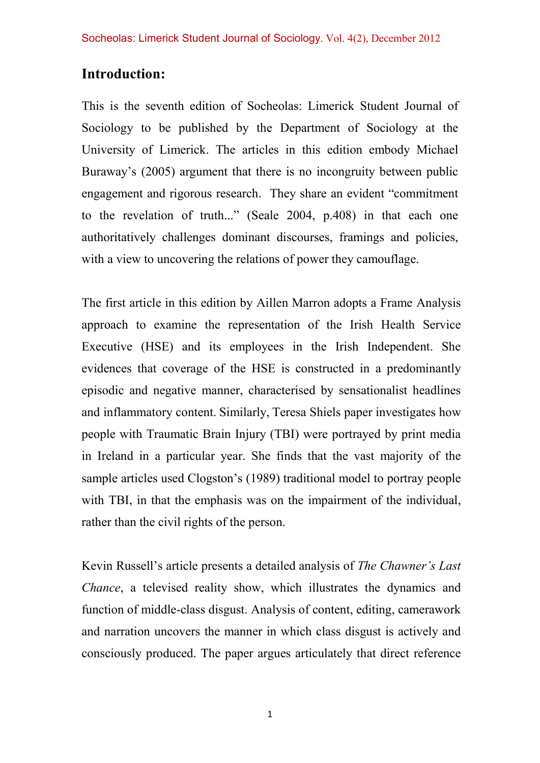## **Introduction:**

This is the seventh edition of Socheolas: Limerick Student Journal of Sociology to be published by the Department of Sociology at the University of Limerick. The articles in this edition embody Michael Buraway's (2005) argument that there is no incongruity between public engagement and rigorous research. They share an evident "commitment to the revelation of truth..." (Seale 2004, p.408) in that each one authoritatively challenges dominant discourses, framings and policies, with a view to uncovering the relations of power they camouflage.

The first article in this edition by Aillen Marron adopts a Frame Analysis approach to examine the representation of the Irish Health Service Executive (HSE) and its employees in the Irish Independent. She evidences that coverage of the HSE is constructed in a predominantly episodic and negative manner, characterised by sensationalist headlines and inflammatory content. Similarly, Teresa Shiels paper investigates how people with Traumatic Brain Injury (TBI) were portrayed by print media in Ireland in a particular year. She finds that the vast majority of the sample articles used Clogston's (1989) traditional model to portray people with TBI, in that the emphasis was on the impairment of the individual, rather than the civil rights of the person.

Kevin Russell's article presents a detailed analysis of *The Chawner's Last Chance*, a televised reality show, which illustrates the dynamics and function of middle-class disgust. Analysis of content, editing, camerawork and narration uncovers the manner in which class disgust is actively and consciously produced. The paper argues articulately that direct reference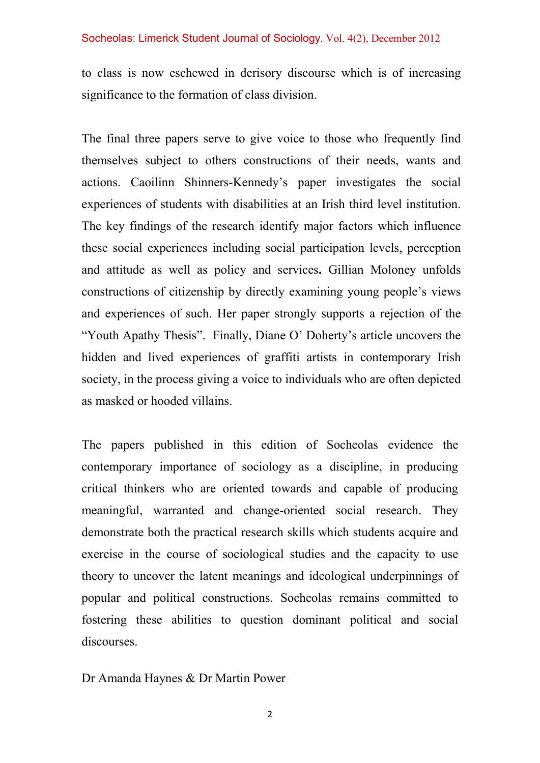## Socheolas: Limerick Student Journal of Sociology. Vol. 4(2), December 2012

to class is now eschewed in derisory discourse which is of increasing significance to the formation of class division.

The final three papers serve to give voice to those who frequently find themselves subject to others constructions of their needs, wants and actions. Caoilinn Shinners-Kennedy's paper investigates the social experiences of students with disabilities at an Irish third level institution. The key findings of the research identify major factors which influence these social experiences including social participation levels, perception and attitude as well as policy and services**.** Gillian Moloney unfolds constructions of citizenship by directly examining young people's views and experiences of such. Her paper strongly supports a rejection of the "Youth Apathy Thesis". Finally, Diane O' Doherty's article uncovers the hidden and lived experiences of graffiti artists in contemporary Irish society, in the process giving a voice to individuals who are often depicted as masked or hooded villains.

The papers published in this edition of Socheolas evidence the contemporary importance of sociology as a discipline, in producing critical thinkers who are oriented towards and capable of producing meaningful, warranted and change-oriented social research. They demonstrate both the practical research skills which students acquire and exercise in the course of sociological studies and the capacity to use theory to uncover the latent meanings and ideological underpinnings of popular and political constructions. Socheolas remains committed to fostering these abilities to question dominant political and social discourses.

Dr Amanda Haynes & Dr Martin Power

2